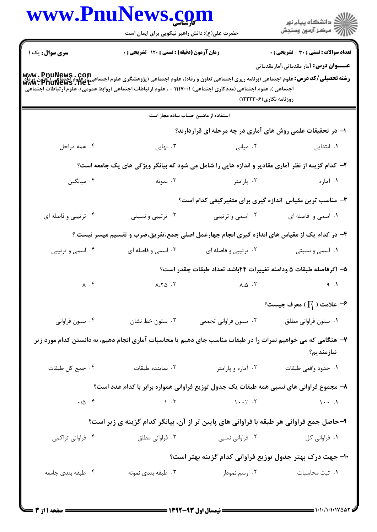|                                                                                                                                                                                                                                  | حضرت علی(ع): دانش راهبر نیکویی برای ایمان است |                                                                                                                                                                                                                                                                                                                                                                                                                               | ِ<br>∭ دانشڪاه پيام نور<br>∭ مرڪز آزمون وسنڊش                                               |  |
|----------------------------------------------------------------------------------------------------------------------------------------------------------------------------------------------------------------------------------|-----------------------------------------------|-------------------------------------------------------------------------------------------------------------------------------------------------------------------------------------------------------------------------------------------------------------------------------------------------------------------------------------------------------------------------------------------------------------------------------|---------------------------------------------------------------------------------------------|--|
| <b>سری سوال :</b> یک ۱                                                                                                                                                                                                           | زمان آزمون (دقیقه) : تستی : ۱۲۰ تشریحی : ۰    |                                                                                                                                                                                                                                                                                                                                                                                                                               | <b>تعداد سوالات : تستی : 30 ٪ تشریحی : 0</b>                                                |  |
|                                                                                                                                                                                                                                  |                                               |                                                                                                                                                                                                                                                                                                                                                                                                                               | <b>عنــــوان درس:</b> آمار مقدماتی،آمارمقدماتی                                              |  |
| رشته تحصیلی/کد درس: علوم اجتماعی (برنامه ریزی اجتماعی تعاون و رفاه)، علوم اجتماعی (پژوهشگری علوم اجتماعی )، علوم اجتماعی (بلون ورگاه<br>رشته تحصیلی/کد درس: علوم اجتماعی (برنامه ریزی اجتماعی تعاون و رفاه)، علوم اجتماعی (پژوهش |                                               |                                                                                                                                                                                                                                                                                                                                                                                                                               |                                                                                             |  |
| اجتماعی )، علوم اجتماعی (مددکاری اجتماعی) ۱۱۱۷۰۰۱ - ، علوم ارتباطات اجتماعی (روابط عمومی)، علوم ارتباطات اجتماعی                                                                                                                 |                                               | روزنامه نگاری)۲۲۲۳۰۶)                                                                                                                                                                                                                                                                                                                                                                                                         |                                                                                             |  |
|                                                                                                                                                                                                                                  |                                               | استفاده از ماشین حساب ساده مجاز است                                                                                                                                                                                                                                                                                                                                                                                           |                                                                                             |  |
|                                                                                                                                                                                                                                  |                                               | ۱– در تحقیقات علمی روش های آماری در چه مرحله ای قراردارند؟                                                                                                                                                                                                                                                                                                                                                                    |                                                                                             |  |
| ۰۴ همه مراحل                                                                                                                                                                                                                     | ۰۳ نهایی                                      | ۰۲ میانی                                                                                                                                                                                                                                                                                                                                                                                                                      | ۰۱ ابتدایی                                                                                  |  |
|                                                                                                                                                                                                                                  |                                               | ۲- کدام گزینه از نظر آماری مقادیر و اندازه هایی را شامل می شود که بیانگر ویژگی های یک جامعه است؟                                                                                                                                                                                                                                                                                                                              |                                                                                             |  |
| ۰۴ میانگین                                                                                                                                                                                                                       | ۰۳ نمونه                                      | ۰۲ پارامتر                                                                                                                                                                                                                                                                                                                                                                                                                    | ۰۱ آماره                                                                                    |  |
|                                                                                                                                                                                                                                  |                                               |                                                                                                                                                                                                                                                                                                                                                                                                                               | ۳- مناسب ترین مقیاس اندازه گیری برای متغیرکیفی کدام است؟                                    |  |
| ۰۴ ترتیبی و فاصله ای                                                                                                                                                                                                             | ۰۳ ترتیبی و نسبتی                             | ۰۲ اسمي و ترتيبي                                                                                                                                                                                                                                                                                                                                                                                                              | ۰۱ اسمی و فاصله ای                                                                          |  |
|                                                                                                                                                                                                                                  |                                               |                                                                                                                                                                                                                                                                                                                                                                                                                               | ۴- در کدام یک از مقیاس های اندازه گیری انجام چهارعمل اصلی جمع،تفریق،ضرب و تقسیم میسر نیست ؟ |  |
| ۰۴ اسمي و ترتيبي                                                                                                                                                                                                                 | ۰۳ اسمی و فاصله ای                            | ۰۲ ترتیبی و فاصله ای                                                                                                                                                                                                                                                                                                                                                                                                          | ۰۱ اسمی و نسبتی                                                                             |  |
|                                                                                                                                                                                                                                  |                                               |                                                                                                                                                                                                                                                                                                                                                                                                                               | ۵– اگرفاصله طبقات ۵ ودامنه تغییرات ۴۴باشد تعداد طبقات چقدر است؟                             |  |
| $\lambda$ . $\mathfrak k$                                                                                                                                                                                                        | $\lambda \cdot \lambda \Delta \cdot \lambda$  | $\lambda \cdot \Delta$ .                                                                                                                                                                                                                                                                                                                                                                                                      | 9.1                                                                                         |  |
|                                                                                                                                                                                                                                  |                                               |                                                                                                                                                                                                                                                                                                                                                                                                                               | $\mathcal{E}$ علامت ( $F_1$ ) معرف چیست $\mathcal{E}$                                       |  |
| ۰۴ ستون فراواني                                                                                                                                                                                                                  | ۰۳ ستون خط نشان                               | ۰۲ ستون فراواني تجمعي                                                                                                                                                                                                                                                                                                                                                                                                         | ٠١ ستون فراواني مطلق                                                                        |  |
| ۷– هنگامی که می خواهیم نمرات را در طبقات مناسب جای دهیم یا محاسبات آماری انجام دهیم، به دانستن کدام مورد زیر                                                                                                                     |                                               |                                                                                                                                                                                                                                                                                                                                                                                                                               | نيازمنديم؟                                                                                  |  |
| ۰۴ جمع کل طبقات                                                                                                                                                                                                                  |                                               | ۲. آماره و پارامتر سیسته تا از تماینده طبقات                                                                                                                                                                                                                                                                                                                                                                                  | ٠١ حدود واقعي طبقات                                                                         |  |
|                                                                                                                                                                                                                                  |                                               |                                                                                                                                                                                                                                                                                                                                                                                                                               | ۸– مجموع فراوانی های نسبی همه طبقات یک جدول توزیع فراوانی همواره برابر با کدام عدد است؟     |  |
| $\boldsymbol{\cdot} \, / \, \Delta$ . $\boldsymbol{\mathsf{F}}$                                                                                                                                                                  |                                               | $\begin{bmatrix} 1 & \mathbf{0} & \mathbf{0} & \mathbf{0} & \mathbf{0} & \mathbf{0} & \mathbf{0} & \mathbf{0} & \mathbf{0} & \mathbf{0} & \mathbf{0} & \mathbf{0} & \mathbf{0} & \mathbf{0} & \mathbf{0} & \mathbf{0} & \mathbf{0} & \mathbf{0} & \mathbf{0} & \mathbf{0} & \mathbf{0} & \mathbf{0} & \mathbf{0} & \mathbf{0} & \mathbf{0} & \mathbf{0} & \mathbf{0} & \mathbf{0} & \mathbf{0} & \mathbf{0} & \mathbf{0} & \$ | $\cdots$                                                                                    |  |
|                                                                                                                                                                                                                                  |                                               | ۹-حاصل جمع فراوانی هر طبقه با فراوانی های پایین تر از آن، بیانگر کدام گزینه ی زیر است؟                                                                                                                                                                                                                                                                                                                                        |                                                                                             |  |
| ۰۴ فراوانی تراکمی                                                                                                                                                                                                                | ۰۳ فراوانی مطلق                               | ۰۲ فراوانی نسبی                                                                                                                                                                                                                                                                                                                                                                                                               | ٠١ فراواني كل                                                                               |  |
|                                                                                                                                                                                                                                  |                                               |                                                                                                                                                                                                                                                                                                                                                                                                                               | ∙ا– جهت درک بهتر جدول توزیع فراوانی کدام گزینه بهتر است؟                                    |  |
| ۰۴ طبقه بندى جامعه                                                                                                                                                                                                               | ۰۳ طبقه بندي نمونه                            | ۰۲ رسم نمودار                                                                                                                                                                                                                                                                                                                                                                                                                 | ٠١ ثبت محاسبات                                                                              |  |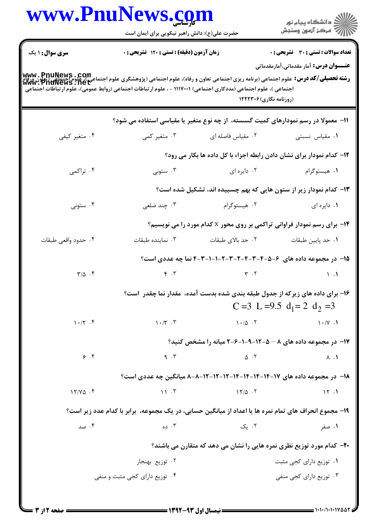|                                                                                                                                                                                                       | حضرت علی(ع): دانش راهبر نیکویی برای ایمان است                                                                    |                                                                               | ڪ دانشڪاه پيا <sub>م</sub> نور<br>۾ سرڪز آزمون وسنڊش                                   |  |
|-------------------------------------------------------------------------------------------------------------------------------------------------------------------------------------------------------|------------------------------------------------------------------------------------------------------------------|-------------------------------------------------------------------------------|----------------------------------------------------------------------------------------|--|
| <b>سری سوال : ۱ یک</b><br>ر <b>(سته تحصیلی/کد درس:</b><br>و <b>شته تحصیلی/کد درس:</b> علوم اجتماعی (برنامه ریزی اجتماعی تعاون و رفاه)، علوم اجتماعی (پژوهشگری علوم اجتماعی (تعاون<br>www.PnuNews .net | زمان آزمون (دقیقه) : تستی : ۱۲۰ تشریحی : ۰                                                                       |                                                                               | تعداد سوالات : تستى : 30 ٪ تشريحي : 0<br><b>عنـــوان درس:</b> آمار مقدماتی،آمارمقدماتی |  |
|                                                                                                                                                                                                       | اجتماعی )، علوم اجتماعی (مددکاری اجتماعی) ۱۱۱۷۰۰۱ - ، علوم ارتباطات اجتماعی (روابط عمومی)، علوم ارتباطات اجتماعی | (روزنامه نگاری)۱۲۲۲۳۰۶                                                        |                                                                                        |  |
|                                                                                                                                                                                                       | 11– معمولا در رسم نمودارهای کمیت گسسته، از چه نوع متغیر یا مقیاسی استفاده می شود؟                                |                                                                               |                                                                                        |  |
| ۰۴ متغیر کیفی                                                                                                                                                                                         | ۰۳ متغیر کمی                                                                                                     | ۰۲ مقیاس فاصله ای                                                             | ۰۱ مقیاس نسبتی                                                                         |  |
|                                                                                                                                                                                                       |                                                                                                                  | ۱۲– کدام نمودار برای نشان دادن رابطه اجزاء با کل داده ها بکار می رود؟         |                                                                                        |  |
| ۰۴ تراکمی                                                                                                                                                                                             | ۰۳ ستونی                                                                                                         | ۰۲ دایره ای                                                                   | ۰۱ هیستوگرام                                                                           |  |
|                                                                                                                                                                                                       |                                                                                                                  | ۱۳– کدام نمودار زیر از ستون هایی که بهم چسبیده اند، تشکیل شده است؟            |                                                                                        |  |
| ۰۴ ستونی                                                                                                                                                                                              | ۰۳ چند ضلعی                                                                                                      | ۰۲ هیستوگرام                                                                  | ۰۱ دایره ای                                                                            |  |
|                                                                                                                                                                                                       | <b>۱۴</b> - برای رسم نمودار فراوانی تراکمی بر روی محور x کدام مورد را می نویسیم؟                                 |                                                                               |                                                                                        |  |
| ۰۴ حدود واقعی طبقات                                                                                                                                                                                   | ۰۳ نماینده طبقات                                                                                                 | ۰۲ حد بالای طبقات                                                             | ٠١. حد پايين طبقات                                                                     |  |
|                                                                                                                                                                                                       |                                                                                                                  | ۱۵– در مجموعه داده های ۶–۵–۴-۳-۲-۲-۲-۲-۱-۱-۱-۳-۴ نما چه عددی است؟             |                                                                                        |  |
| $\Gamma/\Delta$ .                                                                                                                                                                                     |                                                                                                                  | $\gamma$ . T                                                                  | $\mathcal{N}$ . $\mathcal{N}$                                                          |  |
|                                                                                                                                                                                                       |                                                                                                                  | ۱۶- برای داده های زیرکه از جدول طبقه بندی شده بدست آمده، مقدار نما چقدر آست؟  | C = 3 L = 9.5 $d_1 = 2$ $d_2 = 3$                                                      |  |
| $1 - 77$ .                                                                                                                                                                                            | $\mathcal{N} \cdot \mathcal{N}$ .                                                                                | $1 \cdot 10 \cdot 7$                                                          | $\left(\cdot/\gamma\right)$ .                                                          |  |
|                                                                                                                                                                                                       | ۱۷- در مجموعه داده های ۸ - ۵-۱۲-۹-۱-۶-۲ میانه را مشخص کنید؟                                                      |                                                                               |                                                                                        |  |
| 9.9                                                                                                                                                                                                   | 9.7                                                                                                              | $\Delta$ .                                                                    | $\Lambda$ . $\Lambda$                                                                  |  |
|                                                                                                                                                                                                       |                                                                                                                  | ۱۸– در مجموعه داده های ۱۷–۱۴-۱۴-۱۴-۱۴-۱۲-۱۲-۱۲-۱۸-۸-۸ میانگین چه عددی است؟    |                                                                                        |  |
| $17/Y\Delta$ .                                                                                                                                                                                        | $\mathcal{N}$ . $\mathcal{N}$                                                                                    | $17/\Delta$ .                                                                 | 15.1                                                                                   |  |
|                                                                                                                                                                                                       | ۱۹- مجموع انحراف های تمام نمره ها یا اعداد از میانگین حسابی، در یک مجموعه، برابر با کدام عدد زیر است؟            |                                                                               |                                                                                        |  |
| ۰۴ صد                                                                                                                                                                                                 | ۰۳ ده                                                                                                            | ۰۲ یک                                                                         | ۰۱ صفر                                                                                 |  |
|                                                                                                                                                                                                       |                                                                                                                  | <b>۲۰</b> - کدام مورد توزیع نظری نمره هایی را نشان می دهد که متقارن می باشند؟ |                                                                                        |  |
|                                                                                                                                                                                                       | ۰۲ توزیع بهنجار                                                                                                  |                                                                               | ۰۱ توزیع دارای کج <sub>ی</sub> مثبت                                                    |  |
| ۰۴ توزیع دارای کجی مثبت و منفی                                                                                                                                                                        |                                                                                                                  |                                                                               | ۰۳ توزیع دارای کج <sub>ی</sub> منفی                                                    |  |